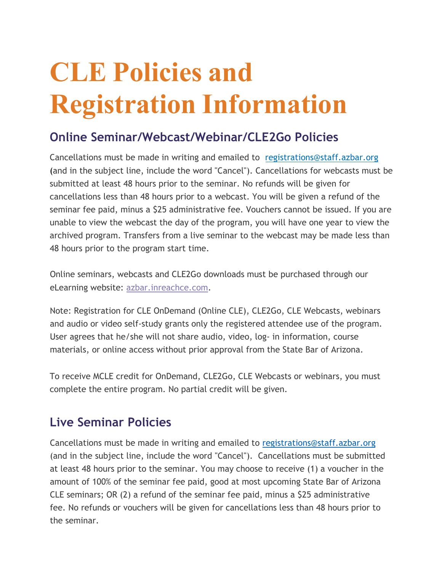## **CLE Policies and Registration Information**

## **Online Seminar/Webcast/Webinar/CLE2Go Policies**

Cancellations must be made in writing and emailed to registrations@staff.azbar.org (and in the subject line, include the word "Cancel"). Cancellations for webcasts must be submitted at least 48 hours prior to the seminar. No refunds will be given for cancellations less than 48 hours prior to a webcast. You will be given a refund of the seminar fee paid, minus a \$25 administrative fee. Vouchers cannot be issued. If you are unable to view the webcast the day of the program, you will have one year to view the archived program. Transfers from a live seminar to the webcast may be made less than 48 hours prior to the program start time.

Online seminars, webcasts and CLE2Go downloads must be purchased through our eLearning website: azbar.inreachce.com.

Note: Registration for CLE OnDemand (Online CLE), CLE2Go, CLE Webcasts, webinars and audio or video self-study grants only the registered attendee use of the program. User agrees that he/she will not share audio, video, log- in information, course materials, or online access without prior approval from the State Bar of Arizona.

To receive MCLE credit for OnDemand, CLE2Go, CLE Webcasts or webinars, you must complete the entire program. No partial credit will be given.

## **Live Seminar Policies**

Cancellations must be made in writing and emailed to registrations@staff.azbar.org (and in the subject line, include the word "Cancel"). Cancellations must be submitted at least 48 hours prior to the seminar. You may choose to receive (1) a voucher in the amount of 100% of the seminar fee paid, good at most upcoming State Bar of Arizona CLE seminars; OR (2) a refund of the seminar fee paid, minus a \$25 administrative fee. No refunds or vouchers will be given for cancellations less than 48 hours prior to the seminar.